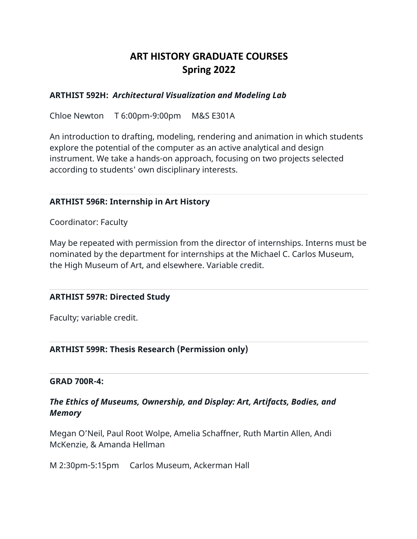# **ART HISTORY GRADUATE COURSES Spring 2022**

# **ARTHIST 592H:** *Architectural Visualization and Modeling Lab*

Chloe Newton T 6:00pm-9:00pm M&S E301A

An introduction to drafting, modeling, rendering and animation in which students explore the potential of the computer as an active analytical and design instrument. We take a hands-on approach, focusing on two projects selected according to students' own disciplinary interests.

# **ARTHIST 596R: Internship in Art History**

Coordinator: Faculty

May be repeated with permission from the director of internships. Interns must be nominated by the department for internships at the Michael C. Carlos Museum, the High Museum of Art, and elsewhere. Variable credit.

# **ARTHIST 597R: Directed Study**

Faculty; variable credit.

# **ARTHIST 599R: Thesis Research (Permission only)**

#### **GRAD 700R-4:**

# *The Ethics of Museums, Ownership, and Display: Art, Artifacts, Bodies, and Memory*

Megan O'Neil, Paul Root Wolpe, Amelia Schaffner, Ruth Martin Allen, Andi McKenzie, & Amanda Hellman

M 2:30pm-5:15pm Carlos Museum, Ackerman Hall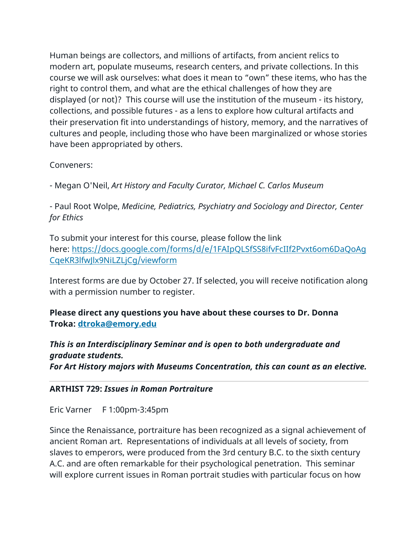Human beings are collectors, and millions of artifacts, from ancient relics to modern art, populate museums, research centers, and private collections. In this course we will ask ourselves: what does it mean to "own" these items, who has the right to control them, and what are the ethical challenges of how they are displayed (or not)? This course will use the institution of the museum - its history, collections, and possible futures - as a lens to explore how cultural artifacts and their preservation fit into understandings of history, memory, and the narratives of cultures and people, including those who have been marginalized or whose stories have been appropriated by others.

Conveners:

- Megan O'Neil, *Art History and Faculty Curator, Michael C. Carlos Museum*

- Paul Root Wolpe, *Medicine, Pediatrics, Psychiatry and Sociology and Director, Center for Ethics*

To submit your interest for this course, please follow the link here: https://docs.google.com/forms/d/e/1FAIpQLSfSS8ifvFcIIf2Pvxt6om6DaQoAg CqeKR3lfwJlx9NiLZLjCg/viewform

Interest forms are due by October 27. If selected, you will receive notification along with a permission number to register.

**Please direct any questions you have about these courses to Dr. Donna Troka: dtroka@emory.edu**

*This is an Interdisciplinary Seminar and is open to both undergraduate and graduate students. For Art History majors with Museums Concentration, this can count as an elective.*

# **ARTHIST 729:** *Issues in Roman Portraiture*

Eric Varner F 1:00pm-3:45pm

Since the Renaissance, portraiture has been recognized as a signal achievement of ancient Roman art. Representations of individuals at all levels of society, from slaves to emperors, were produced from the 3rd century B.C. to the sixth century A.C. and are often remarkable for their psychological penetration. This seminar will explore current issues in Roman portrait studies with particular focus on how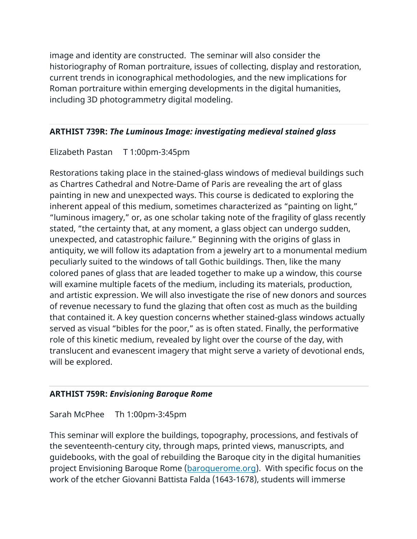image and identity are constructed. The seminar will also consider the historiography of Roman portraiture, issues of collecting, display and restoration, current trends in iconographical methodologies, and the new implications for Roman portraiture within emerging developments in the digital humanities, including 3D photogrammetry digital modeling.

### **ARTHIST 739R:** *The Luminous Image: investigating medieval stained glass*

# Elizabeth Pastan T 1:00pm-3:45pm

Restorations taking place in the stained-glass windows of medieval buildings such as Chartres Cathedral and Notre-Dame of Paris are revealing the art of glass painting in new and unexpected ways. This course is dedicated to exploring the inherent appeal of this medium, sometimes characterized as "painting on light," "luminous imagery," or, as one scholar taking note of the fragility of glass recently stated, "the certainty that, at any moment, a glass object can undergo sudden, unexpected, and catastrophic failure." Beginning with the origins of glass in antiquity, we will follow its adaptation from a jewelry art to a monumental medium peculiarly suited to the windows of tall Gothic buildings. Then, like the many colored panes of glass that are leaded together to make up a window, this course will examine multiple facets of the medium, including its materials, production, and artistic expression. We will also investigate the rise of new donors and sources of revenue necessary to fund the glazing that often cost as much as the building that contained it. A key question concerns whether stained-glass windows actually served as visual "bibles for the poor," as is often stated. Finally, the performative role of this kinetic medium, revealed by light over the course of the day, with translucent and evanescent imagery that might serve a variety of devotional ends, will be explored.

#### **ARTHIST 759R:** *Envisioning Baroque Rome*

Sarah McPhee Th 1:00pm-3:45pm

This seminar will explore the buildings, topography, processions, and festivals of the seventeenth-century city, through maps, printed views, manuscripts, and guidebooks, with the goal of rebuilding the Baroque city in the digital humanities project Envisioning Baroque Rome (baroquerome.org). With specific focus on the work of the etcher Giovanni Battista Falda (1643-1678), students will immerse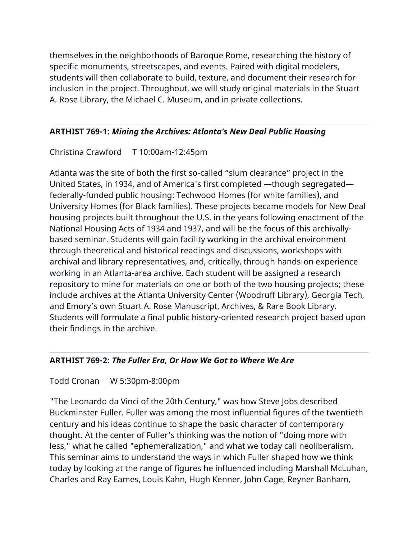themselves in the neighborhoods of Baroque Rome, researching the history of specific monuments, streetscapes, and events. Paired with digital modelers, students will then collaborate to build, texture, and document their research for inclusion in the project. Throughout, we will study original materials in the Stuart A. Rose Library, the Michael C. Museum, and in private collections.

#### **ARTHIST 769-1:** *Mining the Archives: Atlanta's New Deal Public Housing*

# Christina Crawford T 10:00am-12:45pm

Atlanta was the site of both the first so-called "slum clearance" project in the United States, in 1934, and of America's first completed —though segregated federally-funded public housing: Techwood Homes (for white families), and University Homes (for Black families). These projects became models for New Deal housing projects built throughout the U.S. in the years following enactment of the National Housing Acts of 1934 and 1937, and will be the focus of this archivallybased seminar. Students will gain facility working in the archival environment through theoretical and historical readings and discussions, workshops with archival and library representatives, and, critically, through hands-on experience working in an Atlanta-area archive. Each student will be assigned a research repository to mine for materials on one or both of the two housing projects; these include archives at the Atlanta University Center (Woodruff Library), Georgia Tech, and Emory's own Stuart A. Rose Manuscript, Archives, & Rare Book Library. Students will formulate a final public history-oriented research project based upon their findings in the archive.

# **ARTHIST 769-2:** *The Fuller Era, Or How We Got to Where We Are*

#### Todd Cronan W 5:30pm-8:00pm

"The Leonardo da Vinci of the 20th Century," was how Steve Jobs described Buckminster Fuller. Fuller was among the most influential figures of the twentieth century and his ideas continue to shape the basic character of contemporary thought. At the center of Fuller's thinking was the notion of "doing more with less," what he called "ephemeralization," and what we today call neoliberalism. This seminar aims to understand the ways in which Fuller shaped how we think today by looking at the range of figures he influenced including Marshall McLuhan, Charles and Ray Eames, Louis Kahn, Hugh Kenner, John Cage, Reyner Banham,